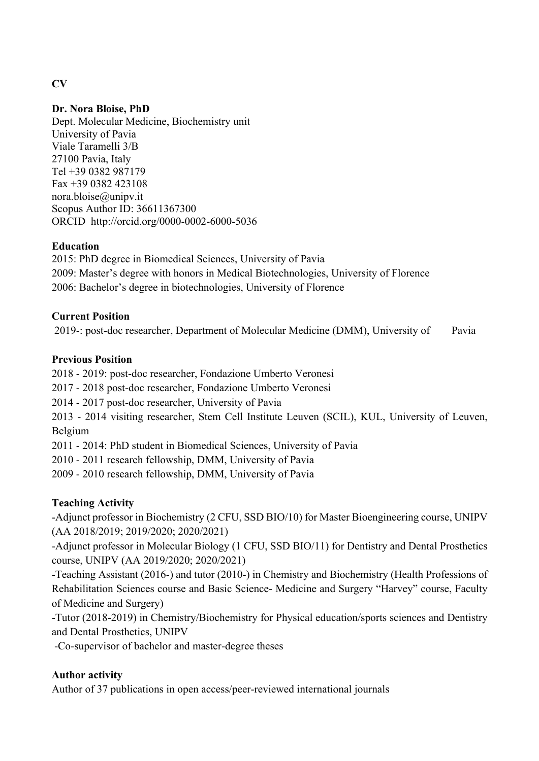# **Dr. Nora Bloise, PhD**

Dept. Molecular Medicine, Biochemistry unit University of Pavia Viale Taramelli 3/B 27100 Pavia, Italy Tel +39 0382 987179 Fax +39 0382 423108 nora.bloise@unipv.it Scopus Author ID: 36611367300 ORCID http://orcid.org/0000-0002-6000-5036

## **Education**

2015: PhD degree in Biomedical Sciences, University of Pavia 2009: Master's degree with honors in Medical Biotechnologies, University of Florence 2006: Bachelor's degree in biotechnologies, University of Florence

### **Current Position**

2019-: post-doc researcher, Department of Molecular Medicine (DMM), University of Pavia

### **Previous Position**

2018 - 2019: post-doc researcher, Fondazione Umberto Veronesi

2017 - 2018 post-doc researcher, Fondazione Umberto Veronesi

2014 - 2017 post-doc researcher, University of Pavia

2013 - 2014 visiting researcher, Stem Cell Institute Leuven (SCIL), KUL, University of Leuven, Belgium

2011 - 2014: PhD student in Biomedical Sciences, University of Pavia

2010 - 2011 research fellowship, DMM, University of Pavia

2009 - 2010 research fellowship, DMM, University of Pavia

## **Teaching Activity**

-Adjunct professor in Biochemistry (2 CFU, SSD BIO/10) for Master Bioengineering course, UNIPV (AA 2018/2019; 2019/2020; 2020/2021)

-Adjunct professor in Molecular Biology (1 CFU, SSD BIO/11) for Dentistry and Dental Prosthetics course, UNIPV (AA 2019/2020; 2020/2021)

-Teaching Assistant (2016-) and tutor (2010-) in Chemistry and Biochemistry (Health Professions of Rehabilitation Sciences course and Basic Science- Medicine and Surgery "Harvey" course, Faculty of Medicine and Surgery)

-Tutor (2018-2019) in Chemistry/Biochemistry for Physical education/sports sciences and Dentistry and Dental Prosthetics, UNIPV

-Co-supervisor of bachelor and master-degree theses

## **Author activity**

Author of 37 publications in open access/peer-reviewed international journals

#### **CV**